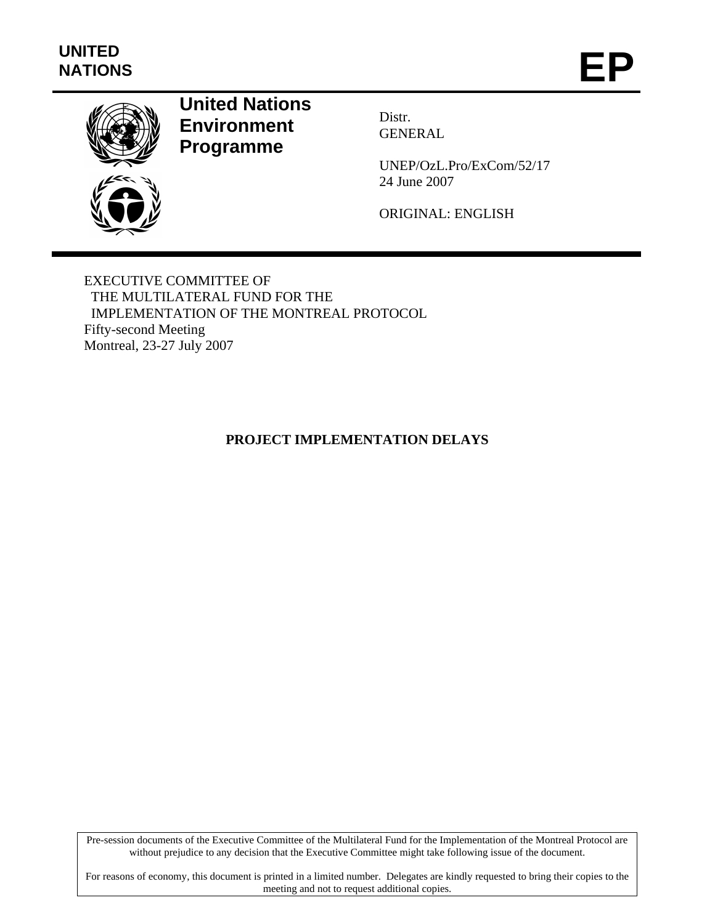

# **United Nations Environment Programme**

Distr. GENERAL

UNEP/OzL.Pro/ExCom/52/17 24 June 2007

ORIGINAL: ENGLISH

EXECUTIVE COMMITTEE OF THE MULTILATERAL FUND FOR THE IMPLEMENTATION OF THE MONTREAL PROTOCOL Fifty-second Meeting Montreal, 23-27 July 2007

**PROJECT IMPLEMENTATION DELAYS** 

Pre-session documents of the Executive Committee of the Multilateral Fund for the Implementation of the Montreal Protocol are without prejudice to any decision that the Executive Committee might take following issue of the document.

For reasons of economy, this document is printed in a limited number. Delegates are kindly requested to bring their copies to the meeting and not to request additional copies.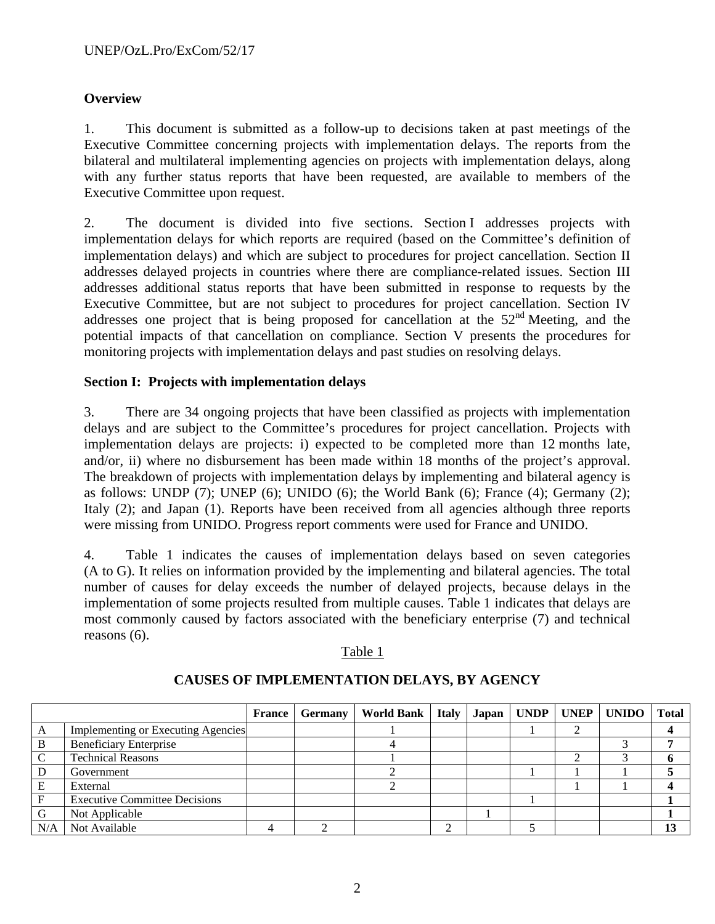# **Overview**

1. This document is submitted as a follow-up to decisions taken at past meetings of the Executive Committee concerning projects with implementation delays. The reports from the bilateral and multilateral implementing agencies on projects with implementation delays, along with any further status reports that have been requested, are available to members of the Executive Committee upon request.

2. The document is divided into five sections. Section I addresses projects with implementation delays for which reports are required (based on the Committee's definition of implementation delays) and which are subject to procedures for project cancellation. Section II addresses delayed projects in countries where there are compliance-related issues. Section III addresses additional status reports that have been submitted in response to requests by the Executive Committee, but are not subject to procedures for project cancellation. Section IV addresses one project that is being proposed for cancellation at the  $52<sup>nd</sup>$  Meeting, and the potential impacts of that cancellation on compliance. Section V presents the procedures for monitoring projects with implementation delays and past studies on resolving delays.

# **Section I: Projects with implementation delays**

3. There are 34 ongoing projects that have been classified as projects with implementation delays and are subject to the Committee's procedures for project cancellation. Projects with implementation delays are projects: i) expected to be completed more than 12 months late, and/or, ii) where no disbursement has been made within 18 months of the project's approval. The breakdown of projects with implementation delays by implementing and bilateral agency is as follows: UNDP  $(7)$ ; UNEP  $(6)$ ; UNIDO  $(6)$ ; the World Bank  $(6)$ ; France  $(4)$ ; Germany  $(2)$ ; Italy (2); and Japan (1). Reports have been received from all agencies although three reports were missing from UNIDO. Progress report comments were used for France and UNIDO.

4. Table 1 indicates the causes of implementation delays based on seven categories (A to G). It relies on information provided by the implementing and bilateral agencies. The total number of causes for delay exceeds the number of delayed projects, because delays in the implementation of some projects resulted from multiple causes. Table 1 indicates that delays are most commonly caused by factors associated with the beneficiary enterprise (7) and technical reasons (6).

#### Table 1

|     |                                      | <b>France</b> | <b>Germany</b> | World Bank   Italy   Japan |  | <b>UNDP</b> | <b>UNEP</b> | <b>UNIDO</b> | Total |
|-----|--------------------------------------|---------------|----------------|----------------------------|--|-------------|-------------|--------------|-------|
|     | Implementing or Executing Agencies   |               |                |                            |  |             |             |              |       |
| B   | <b>Beneficiary Enterprise</b>        |               |                |                            |  |             |             |              |       |
|     | <b>Technical Reasons</b>             |               |                |                            |  |             |             |              |       |
|     | Government                           |               |                |                            |  |             |             |              |       |
| E   | External                             |               |                |                            |  |             |             |              |       |
|     | <b>Executive Committee Decisions</b> |               |                |                            |  |             |             |              |       |
|     | Not Applicable                       |               |                |                            |  |             |             |              |       |
| N/A | Not Available                        |               |                |                            |  |             |             |              |       |

#### **CAUSES OF IMPLEMENTATION DELAYS, BY AGENCY**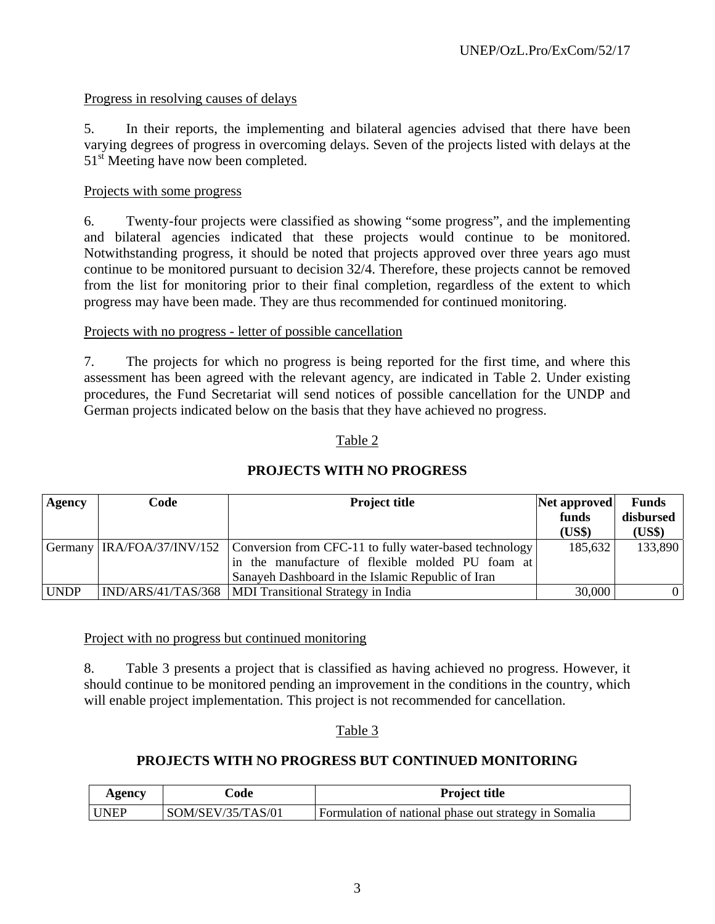## Progress in resolving causes of delays

5. In their reports, the implementing and bilateral agencies advised that there have been varying degrees of progress in overcoming delays. Seven of the projects listed with delays at the 51<sup>st</sup> Meeting have now been completed.

#### Projects with some progress

6. Twenty-four projects were classified as showing "some progress", and the implementing and bilateral agencies indicated that these projects would continue to be monitored. Notwithstanding progress, it should be noted that projects approved over three years ago must continue to be monitored pursuant to decision 32/4. Therefore, these projects cannot be removed from the list for monitoring prior to their final completion, regardless of the extent to which progress may have been made. They are thus recommended for continued monitoring.

#### Projects with no progress - letter of possible cancellation

7. The projects for which no progress is being reported for the first time, and where this assessment has been agreed with the relevant agency, are indicated in Table 2. Under existing procedures, the Fund Secretariat will send notices of possible cancellation for the UNDP and German projects indicated below on the basis that they have achieved no progress.

#### Table 2

| <b>Agency</b> | Code | <b>Project title</b>                                                              | Net approved | <b>Funds</b> |
|---------------|------|-----------------------------------------------------------------------------------|--------------|--------------|
|               |      |                                                                                   | funds        | disbursed    |
|               |      |                                                                                   | (US\$)       | (US\$)       |
|               |      | Germany IRA/FOA/37/INV/152 Conversion from CFC-11 to fully water-based technology | 185,632      | 133,890      |
|               |      | in the manufacture of flexible molded PU foam at                                  |              |              |
|               |      | Sanayeh Dashboard in the Islamic Republic of Iran                                 |              |              |
| <b>UNDP</b>   |      | IND/ARS/41/TAS/368   MDI Transitional Strategy in India                           | 30,000       | $\Omega$     |

#### **PROJECTS WITH NO PROGRESS**

#### Project with no progress but continued monitoring

8. Table 3 presents a project that is classified as having achieved no progress. However, it should continue to be monitored pending an improvement in the conditions in the country, which will enable project implementation. This project is not recommended for cancellation.

#### Table 3

# **PROJECTS WITH NO PROGRESS BUT CONTINUED MONITORING**

| Agency      | `ode              | <b>Project title</b>                                  |
|-------------|-------------------|-------------------------------------------------------|
| <b>UNEP</b> | SOM/SEV/35/TAS/01 | Formulation of national phase out strategy in Somalia |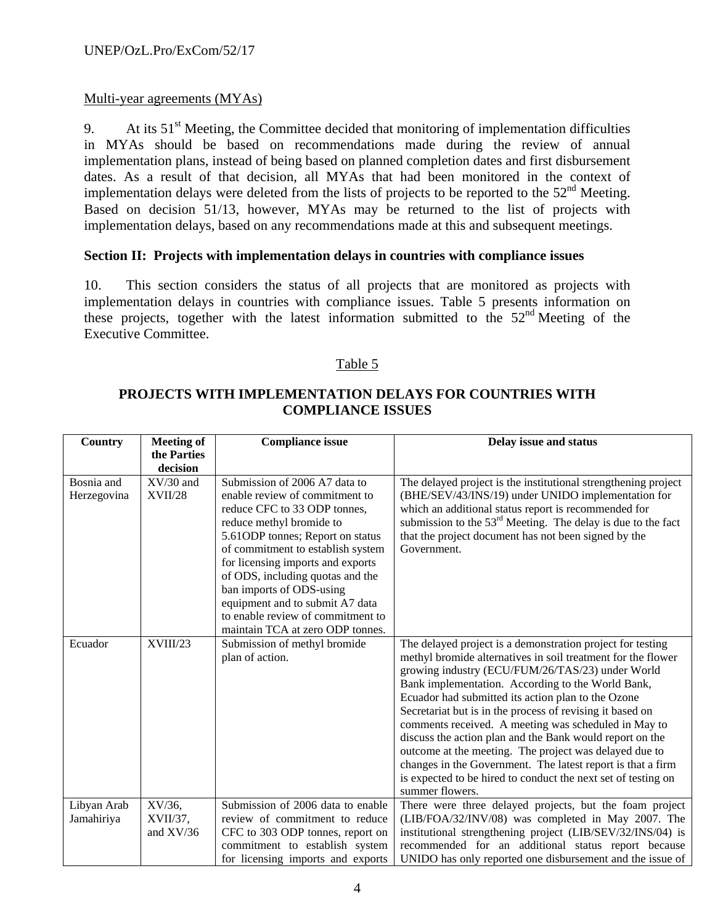## Multi-year agreements (MYAs)

9. At its  $51<sup>st</sup>$  Meeting, the Committee decided that monitoring of implementation difficulties in MYAs should be based on recommendations made during the review of annual implementation plans, instead of being based on planned completion dates and first disbursement dates. As a result of that decision, all MYAs that had been monitored in the context of implementation delays were deleted from the lists of projects to be reported to the  $52<sup>nd</sup>$  Meeting. Based on decision 51/13, however, MYAs may be returned to the list of projects with implementation delays, based on any recommendations made at this and subsequent meetings.

#### **Section II: Projects with implementation delays in countries with compliance issues**

10. This section considers the status of all projects that are monitored as projects with implementation delays in countries with compliance issues. Table 5 presents information on these projects, together with the latest information submitted to the  $52<sup>nd</sup>$  Meeting of the Executive Committee.

# Table 5

# **PROJECTS WITH IMPLEMENTATION DELAYS FOR COUNTRIES WITH COMPLIANCE ISSUES**

| <b>Country</b> | <b>Meeting of</b> | <b>Compliance issue</b>           | Delay issue and status                                                           |  |
|----------------|-------------------|-----------------------------------|----------------------------------------------------------------------------------|--|
|                | the Parties       |                                   |                                                                                  |  |
|                | decision          |                                   |                                                                                  |  |
| Bosnia and     | $XV/30$ and       | Submission of 2006 A7 data to     | The delayed project is the institutional strengthening project                   |  |
| Herzegovina    | <b>XVII/28</b>    | enable review of commitment to    | (BHE/SEV/43/INS/19) under UNIDO implementation for                               |  |
|                |                   | reduce CFC to 33 ODP tonnes,      | which an additional status report is recommended for                             |  |
|                |                   | reduce methyl bromide to          | submission to the $53rd$ Meeting. The delay is due to the fact                   |  |
|                |                   | 5.61 ODP tonnes; Report on status | that the project document has not been signed by the                             |  |
|                |                   | of commitment to establish system | Government.                                                                      |  |
|                |                   | for licensing imports and exports |                                                                                  |  |
|                |                   | of ODS, including quotas and the  |                                                                                  |  |
|                |                   | ban imports of ODS-using          |                                                                                  |  |
|                |                   | equipment and to submit A7 data   |                                                                                  |  |
|                |                   | to enable review of commitment to |                                                                                  |  |
|                |                   | maintain TCA at zero ODP tonnes.  |                                                                                  |  |
| Ecuador        | XVIII/23          | Submission of methyl bromide      | The delayed project is a demonstration project for testing                       |  |
|                |                   | plan of action.                   | methyl bromide alternatives in soil treatment for the flower                     |  |
|                |                   |                                   | growing industry (ECU/FUM/26/TAS/23) under World                                 |  |
|                |                   |                                   | Bank implementation. According to the World Bank,                                |  |
|                |                   |                                   | Ecuador had submitted its action plan to the Ozone                               |  |
|                |                   |                                   | Secretariat but is in the process of revising it based on                        |  |
|                |                   |                                   | comments received. A meeting was scheduled in May to                             |  |
|                |                   |                                   | discuss the action plan and the Bank would report on the                         |  |
|                |                   |                                   | outcome at the meeting. The project was delayed due to                           |  |
|                |                   |                                   | changes in the Government. The latest report is that a firm                      |  |
|                |                   |                                   | is expected to be hired to conduct the next set of testing on<br>summer flowers. |  |
| Libyan Arab    | XV/36,            | Submission of 2006 data to enable | There were three delayed projects, but the foam project                          |  |
| Jamahiriya     | $XVII/37$ ,       | review of commitment to reduce    | (LIB/FOA/32/INV/08) was completed in May 2007. The                               |  |
|                | and $XV/36$       | CFC to 303 ODP tonnes, report on  | institutional strengthening project (LIB/SEV/32/INS/04) is                       |  |
|                |                   | commitment to establish system    | recommended for an additional status report because                              |  |
|                |                   | for licensing imports and exports | UNIDO has only reported one disbursement and the issue of                        |  |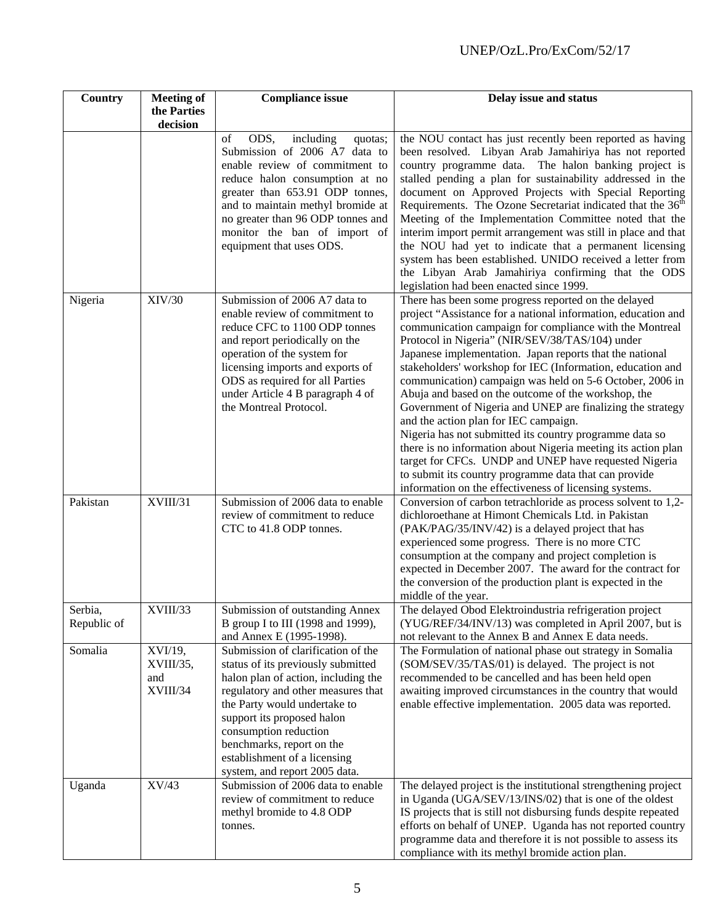| Country                | <b>Compliance issue</b><br><b>Meeting of</b> |                                                                                                                                                                                                                                                                                                                                            | Delay issue and status                                                                                                                                                                                                                                                                                                                                                                                                                                                                                                                                                                                                                                                                                                                                                                                                                                                                          |  |  |
|------------------------|----------------------------------------------|--------------------------------------------------------------------------------------------------------------------------------------------------------------------------------------------------------------------------------------------------------------------------------------------------------------------------------------------|-------------------------------------------------------------------------------------------------------------------------------------------------------------------------------------------------------------------------------------------------------------------------------------------------------------------------------------------------------------------------------------------------------------------------------------------------------------------------------------------------------------------------------------------------------------------------------------------------------------------------------------------------------------------------------------------------------------------------------------------------------------------------------------------------------------------------------------------------------------------------------------------------|--|--|
|                        | the Parties<br>decision                      |                                                                                                                                                                                                                                                                                                                                            |                                                                                                                                                                                                                                                                                                                                                                                                                                                                                                                                                                                                                                                                                                                                                                                                                                                                                                 |  |  |
|                        |                                              | ODS,<br>including<br>of<br>quotas;<br>Submission of 2006 A7 data to<br>enable review of commitment to<br>reduce halon consumption at no<br>greater than 653.91 ODP tonnes,<br>and to maintain methyl bromide at<br>no greater than 96 ODP tonnes and<br>monitor the ban of import of<br>equipment that uses ODS.                           | the NOU contact has just recently been reported as having<br>been resolved. Libyan Arab Jamahiriya has not reported<br>country programme data. The halon banking project is<br>stalled pending a plan for sustainability addressed in the<br>document on Approved Projects with Special Reporting<br>Requirements. The Ozone Secretariat indicated that the 36 <sup>th</sup><br>Meeting of the Implementation Committee noted that the<br>interim import permit arrangement was still in place and that<br>the NOU had yet to indicate that a permanent licensing<br>system has been established. UNIDO received a letter from<br>the Libyan Arab Jamahiriya confirming that the ODS<br>legislation had been enacted since 1999.                                                                                                                                                                |  |  |
| Nigeria                | XIV/30                                       | Submission of 2006 A7 data to<br>enable review of commitment to<br>reduce CFC to 1100 ODP tonnes<br>and report periodically on the<br>operation of the system for<br>licensing imports and exports of<br>ODS as required for all Parties<br>under Article 4 B paragraph 4 of<br>the Montreal Protocol.                                     | There has been some progress reported on the delayed<br>project "Assistance for a national information, education and<br>communication campaign for compliance with the Montreal<br>Protocol in Nigeria" (NIR/SEV/38/TAS/104) under<br>Japanese implementation. Japan reports that the national<br>stakeholders' workshop for IEC (Information, education and<br>communication) campaign was held on 5-6 October, 2006 in<br>Abuja and based on the outcome of the workshop, the<br>Government of Nigeria and UNEP are finalizing the strategy<br>and the action plan for IEC campaign.<br>Nigeria has not submitted its country programme data so<br>there is no information about Nigeria meeting its action plan<br>target for CFCs. UNDP and UNEP have requested Nigeria<br>to submit its country programme data that can provide<br>information on the effectiveness of licensing systems. |  |  |
| Pakistan               | XVIII/31                                     | Submission of 2006 data to enable<br>review of commitment to reduce<br>CTC to 41.8 ODP tonnes.                                                                                                                                                                                                                                             | Conversion of carbon tetrachloride as process solvent to 1,2-<br>dichloroethane at Himont Chemicals Ltd. in Pakistan<br>(PAK/PAG/35/INV/42) is a delayed project that has<br>experienced some progress. There is no more CTC<br>consumption at the company and project completion is<br>expected in December 2007. The award for the contract for<br>the conversion of the production plant is expected in the<br>middle of the year.                                                                                                                                                                                                                                                                                                                                                                                                                                                           |  |  |
| Serbia,<br>Republic of | XVIII/33                                     | Submission of outstanding Annex<br>B group I to III (1998 and 1999),<br>and Annex E (1995-1998).                                                                                                                                                                                                                                           | The delayed Obod Elektroindustria refrigeration project<br>(YUG/REF/34/INV/13) was completed in April 2007, but is<br>not relevant to the Annex B and Annex E data needs.                                                                                                                                                                                                                                                                                                                                                                                                                                                                                                                                                                                                                                                                                                                       |  |  |
| Somalia                | XVI/19,<br>XVIII/35,<br>and<br>XVIII/34      | Submission of clarification of the<br>status of its previously submitted<br>halon plan of action, including the<br>regulatory and other measures that<br>the Party would undertake to<br>support its proposed halon<br>consumption reduction<br>benchmarks, report on the<br>establishment of a licensing<br>system, and report 2005 data. | The Formulation of national phase out strategy in Somalia<br>(SOM/SEV/35/TAS/01) is delayed. The project is not<br>recommended to be cancelled and has been held open<br>awaiting improved circumstances in the country that would<br>enable effective implementation. 2005 data was reported.                                                                                                                                                                                                                                                                                                                                                                                                                                                                                                                                                                                                  |  |  |
| Uganda                 | XV/43                                        | Submission of 2006 data to enable<br>review of commitment to reduce<br>methyl bromide to 4.8 ODP<br>tonnes.                                                                                                                                                                                                                                | The delayed project is the institutional strengthening project<br>in Uganda (UGA/SEV/13/INS/02) that is one of the oldest<br>IS projects that is still not disbursing funds despite repeated<br>efforts on behalf of UNEP. Uganda has not reported country<br>programme data and therefore it is not possible to assess its<br>compliance with its methyl bromide action plan.                                                                                                                                                                                                                                                                                                                                                                                                                                                                                                                  |  |  |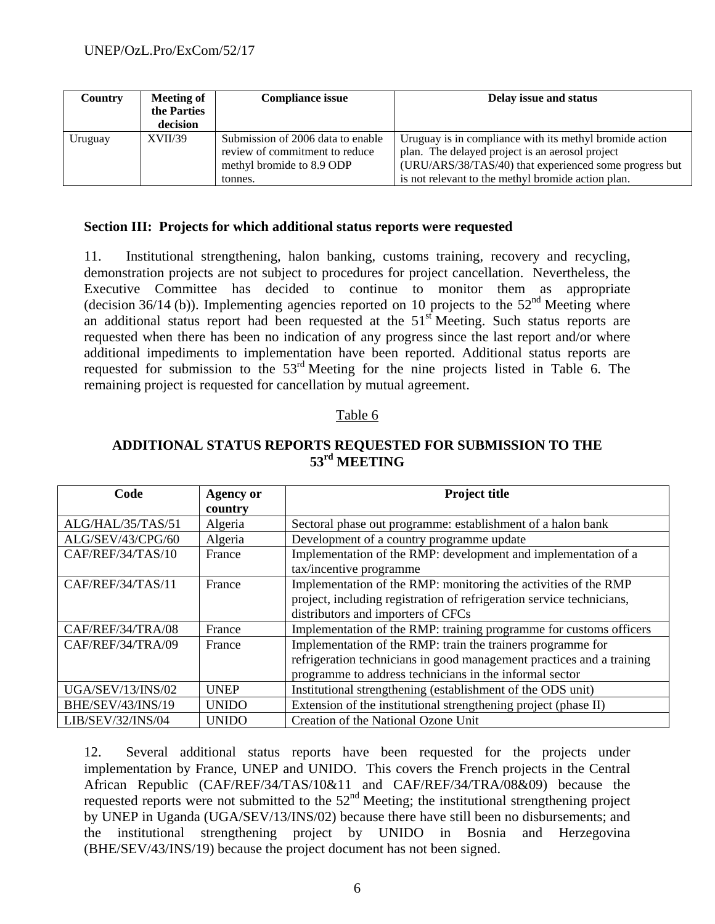| Country | Meeting of<br>the Parties<br>decision | <b>Compliance issue</b>                                                                                     | Delay issue and status                                                                                                                                                                                                     |
|---------|---------------------------------------|-------------------------------------------------------------------------------------------------------------|----------------------------------------------------------------------------------------------------------------------------------------------------------------------------------------------------------------------------|
| Uruguay | XVII/39                               | Submission of 2006 data to enable<br>review of commitment to reduce<br>methyl bromide to 8.9 ODP<br>tonnes. | Uruguay is in compliance with its methyl bromide action<br>plan. The delayed project is an aerosol project<br>(URU/ARS/38/TAS/40) that experienced some progress but<br>is not relevant to the methyl bromide action plan. |

#### **Section III: Projects for which additional status reports were requested**

11. Institutional strengthening, halon banking, customs training, recovery and recycling, demonstration projects are not subject to procedures for project cancellation. Nevertheless, the Executive Committee has decided to continue to monitor them as appropriate (decision 36/14 (b)). Implementing agencies reported on 10 projects to the  $52<sup>nd</sup>$  Meeting where an additional status report had been requested at the  $51<sup>st</sup>$  Meeting. Such status reports are requested when there has been no indication of any progress since the last report and/or where additional impediments to implementation have been reported. Additional status reports are requested for submission to the 53rd Meeting for the nine projects listed in Table 6. The remaining project is requested for cancellation by mutual agreement.

#### Table 6

| Code              | <b>Agency or</b><br>country | <b>Project title</b>                                                                                                                                                                            |
|-------------------|-----------------------------|-------------------------------------------------------------------------------------------------------------------------------------------------------------------------------------------------|
| ALG/HAL/35/TAS/51 | Algeria                     | Sectoral phase out programme: establishment of a halon bank                                                                                                                                     |
| ALG/SEV/43/CPG/60 | Algeria                     | Development of a country programme update                                                                                                                                                       |
| CAF/REF/34/TAS/10 | France                      | Implementation of the RMP: development and implementation of a<br>tax/incentive programme                                                                                                       |
| CAF/REF/34/TAS/11 | France                      | Implementation of the RMP: monitoring the activities of the RMP<br>project, including registration of refrigeration service technicians,<br>distributors and importers of CFCs                  |
| CAF/REF/34/TRA/08 | France                      | Implementation of the RMP: training programme for customs officers                                                                                                                              |
| CAF/REF/34/TRA/09 | France                      | Implementation of the RMP: train the trainers programme for<br>refrigeration technicians in good management practices and a training<br>programme to address technicians in the informal sector |
| UGA/SEV/13/INS/02 | <b>UNEP</b>                 | Institutional strengthening (establishment of the ODS unit)                                                                                                                                     |
| BHE/SEV/43/INS/19 | <b>UNIDO</b>                | Extension of the institutional strengthening project (phase II)                                                                                                                                 |
| LIB/SEV/32/INS/04 | <b>UNIDO</b>                | Creation of the National Ozone Unit                                                                                                                                                             |

# **ADDITIONAL STATUS REPORTS REQUESTED FOR SUBMISSION TO THE 53rd MEETING**

12. Several additional status reports have been requested for the projects under implementation by France, UNEP and UNIDO. This covers the French projects in the Central African Republic (CAF/REF/34/TAS/10&11 and CAF/REF/34/TRA/08&09) because the requested reports were not submitted to the  $52<sup>nd</sup>$  Meeting; the institutional strengthening project by UNEP in Uganda (UGA/SEV/13/INS/02) because there have still been no disbursements; and the institutional strengthening project by UNIDO in Bosnia and Herzegovina (BHE/SEV/43/INS/19) because the project document has not been signed.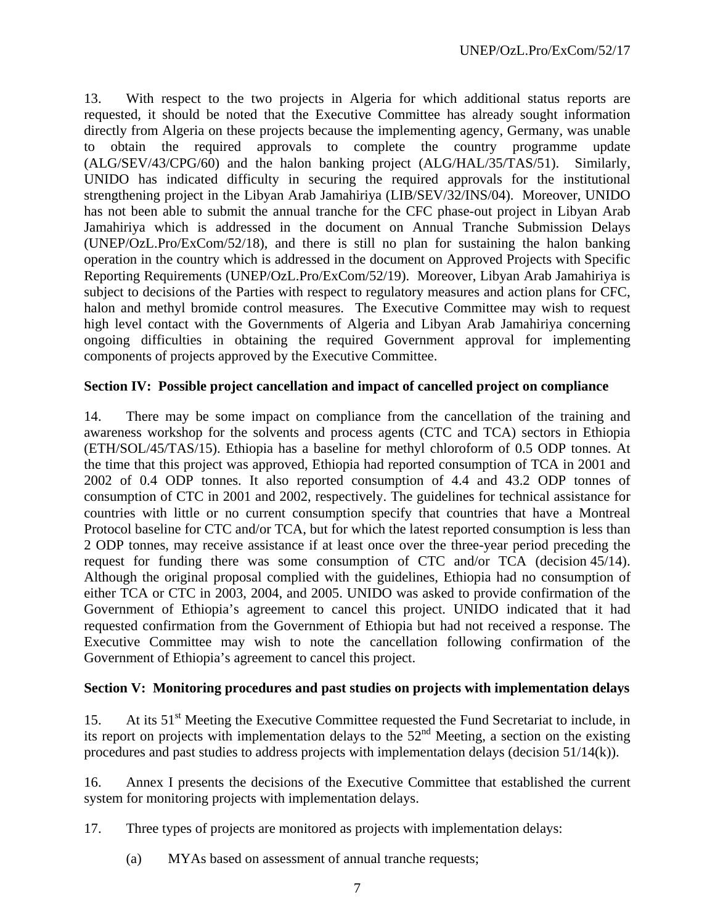13. With respect to the two projects in Algeria for which additional status reports are requested, it should be noted that the Executive Committee has already sought information directly from Algeria on these projects because the implementing agency, Germany, was unable to obtain the required approvals to complete the country programme update (ALG/SEV/43/CPG/60) and the halon banking project (ALG/HAL/35/TAS/51). Similarly, UNIDO has indicated difficulty in securing the required approvals for the institutional strengthening project in the Libyan Arab Jamahiriya (LIB/SEV/32/INS/04). Moreover, UNIDO has not been able to submit the annual tranche for the CFC phase-out project in Libyan Arab Jamahiriya which is addressed in the document on Annual Tranche Submission Delays (UNEP/OzL.Pro/ExCom/52/18), and there is still no plan for sustaining the halon banking operation in the country which is addressed in the document on Approved Projects with Specific Reporting Requirements (UNEP/OzL.Pro/ExCom/52/19). Moreover, Libyan Arab Jamahiriya is subject to decisions of the Parties with respect to regulatory measures and action plans for CFC, halon and methyl bromide control measures. The Executive Committee may wish to request high level contact with the Governments of Algeria and Libyan Arab Jamahiriya concerning ongoing difficulties in obtaining the required Government approval for implementing components of projects approved by the Executive Committee.

#### **Section IV: Possible project cancellation and impact of cancelled project on compliance**

14. There may be some impact on compliance from the cancellation of the training and awareness workshop for the solvents and process agents (CTC and TCA) sectors in Ethiopia (ETH/SOL/45/TAS/15). Ethiopia has a baseline for methyl chloroform of 0.5 ODP tonnes. At the time that this project was approved, Ethiopia had reported consumption of TCA in 2001 and 2002 of 0.4 ODP tonnes. It also reported consumption of 4.4 and 43.2 ODP tonnes of consumption of CTC in 2001 and 2002, respectively. The guidelines for technical assistance for countries with little or no current consumption specify that countries that have a Montreal Protocol baseline for CTC and/or TCA, but for which the latest reported consumption is less than 2 ODP tonnes, may receive assistance if at least once over the three-year period preceding the request for funding there was some consumption of CTC and/or TCA (decision 45/14). Although the original proposal complied with the guidelines, Ethiopia had no consumption of either TCA or CTC in 2003, 2004, and 2005. UNIDO was asked to provide confirmation of the Government of Ethiopia's agreement to cancel this project. UNIDO indicated that it had requested confirmation from the Government of Ethiopia but had not received a response. The Executive Committee may wish to note the cancellation following confirmation of the Government of Ethiopia's agreement to cancel this project.

# **Section V: Monitoring procedures and past studies on projects with implementation delays**

15. At its 51<sup>st</sup> Meeting the Executive Committee requested the Fund Secretariat to include, in its report on projects with implementation delays to the  $52<sup>nd</sup>$  Meeting, a section on the existing procedures and past studies to address projects with implementation delays (decision 51/14(k)).

16. Annex I presents the decisions of the Executive Committee that established the current system for monitoring projects with implementation delays.

17. Three types of projects are monitored as projects with implementation delays:

(a) MYAs based on assessment of annual tranche requests;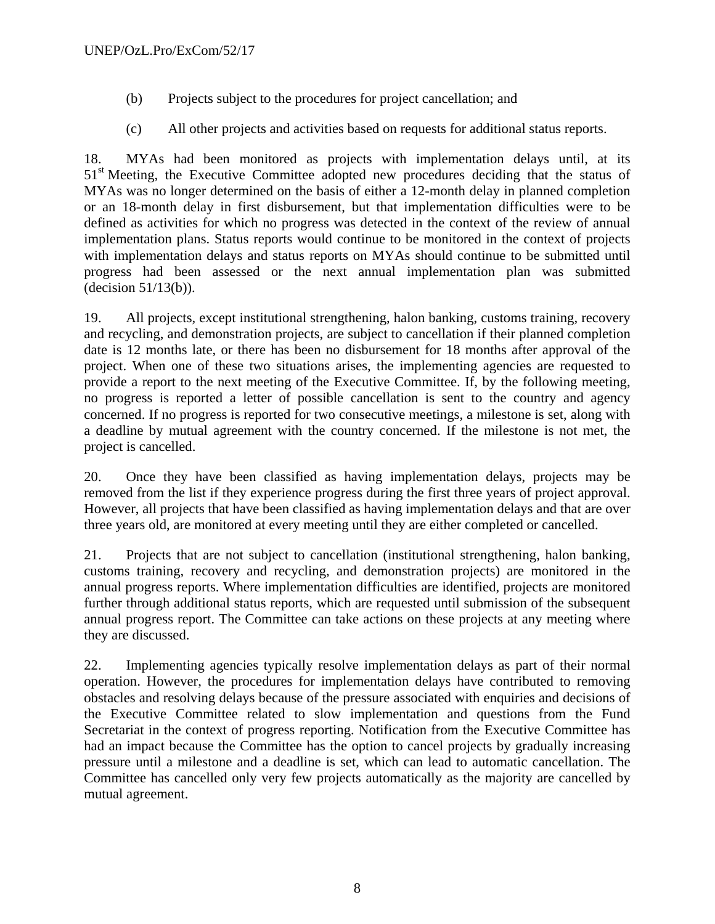- (b) Projects subject to the procedures for project cancellation; and
- (c) All other projects and activities based on requests for additional status reports.

18. MYAs had been monitored as projects with implementation delays until, at its 51<sup>st</sup> Meeting, the Executive Committee adopted new procedures deciding that the status of MYAs was no longer determined on the basis of either a 12-month delay in planned completion or an 18-month delay in first disbursement, but that implementation difficulties were to be defined as activities for which no progress was detected in the context of the review of annual implementation plans. Status reports would continue to be monitored in the context of projects with implementation delays and status reports on MYAs should continue to be submitted until progress had been assessed or the next annual implementation plan was submitted (decision 51/13(b)).

19. All projects, except institutional strengthening, halon banking, customs training, recovery and recycling, and demonstration projects, are subject to cancellation if their planned completion date is 12 months late, or there has been no disbursement for 18 months after approval of the project. When one of these two situations arises, the implementing agencies are requested to provide a report to the next meeting of the Executive Committee. If, by the following meeting, no progress is reported a letter of possible cancellation is sent to the country and agency concerned. If no progress is reported for two consecutive meetings, a milestone is set, along with a deadline by mutual agreement with the country concerned. If the milestone is not met, the project is cancelled.

20. Once they have been classified as having implementation delays, projects may be removed from the list if they experience progress during the first three years of project approval. However, all projects that have been classified as having implementation delays and that are over three years old, are monitored at every meeting until they are either completed or cancelled.

21. Projects that are not subject to cancellation (institutional strengthening, halon banking, customs training, recovery and recycling, and demonstration projects) are monitored in the annual progress reports. Where implementation difficulties are identified, projects are monitored further through additional status reports, which are requested until submission of the subsequent annual progress report. The Committee can take actions on these projects at any meeting where they are discussed.

22. Implementing agencies typically resolve implementation delays as part of their normal operation. However, the procedures for implementation delays have contributed to removing obstacles and resolving delays because of the pressure associated with enquiries and decisions of the Executive Committee related to slow implementation and questions from the Fund Secretariat in the context of progress reporting. Notification from the Executive Committee has had an impact because the Committee has the option to cancel projects by gradually increasing pressure until a milestone and a deadline is set, which can lead to automatic cancellation. The Committee has cancelled only very few projects automatically as the majority are cancelled by mutual agreement.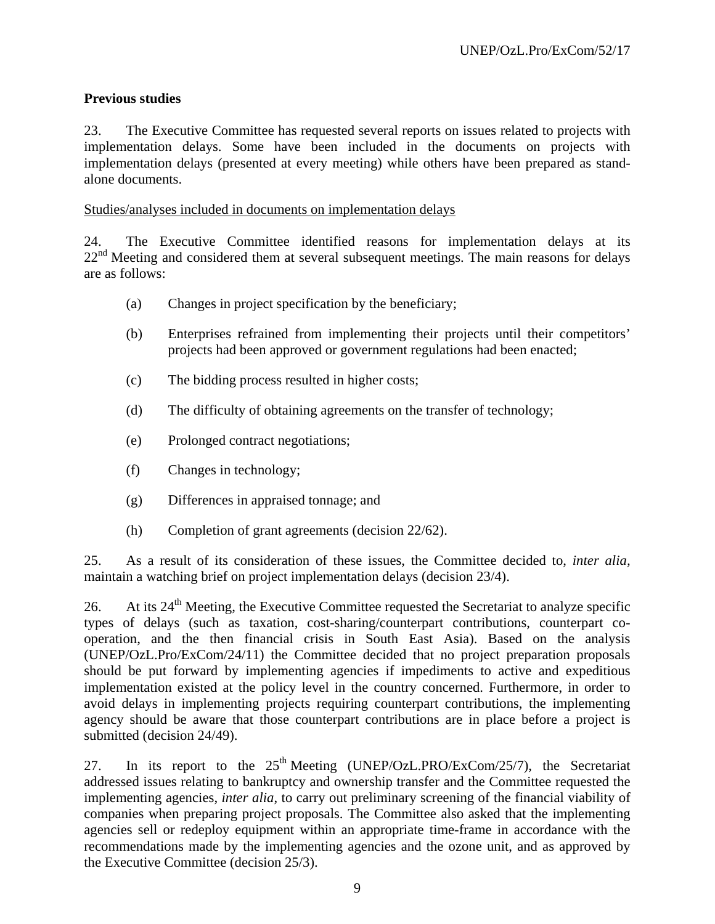# **Previous studies**

23. The Executive Committee has requested several reports on issues related to projects with implementation delays. Some have been included in the documents on projects with implementation delays (presented at every meeting) while others have been prepared as standalone documents.

Studies/analyses included in documents on implementation delays

24. The Executive Committee identified reasons for implementation delays at its  $22<sup>nd</sup>$  Meeting and considered them at several subsequent meetings. The main reasons for delays are as follows:

- (a) Changes in project specification by the beneficiary;
- (b) Enterprises refrained from implementing their projects until their competitors' projects had been approved or government regulations had been enacted;
- (c) The bidding process resulted in higher costs;
- (d) The difficulty of obtaining agreements on the transfer of technology;
- (e) Prolonged contract negotiations;
- (f) Changes in technology;
- (g) Differences in appraised tonnage; and
- (h) Completion of grant agreements (decision 22/62).

25. As a result of its consideration of these issues, the Committee decided to, *inter alia,* maintain a watching brief on project implementation delays (decision 23/4).

26. At its  $24<sup>th</sup>$  Meeting, the Executive Committee requested the Secretariat to analyze specific types of delays (such as taxation, cost-sharing/counterpart contributions, counterpart cooperation, and the then financial crisis in South East Asia). Based on the analysis (UNEP/OzL.Pro/ExCom/24/11) the Committee decided that no project preparation proposals should be put forward by implementing agencies if impediments to active and expeditious implementation existed at the policy level in the country concerned. Furthermore, in order to avoid delays in implementing projects requiring counterpart contributions, the implementing agency should be aware that those counterpart contributions are in place before a project is submitted (decision 24/49).

27. In its report to the  $25<sup>th</sup>$  Meeting (UNEP/OzL.PRO/ExCom/25/7), the Secretariat addressed issues relating to bankruptcy and ownership transfer and the Committee requested the implementing agencies, *inter alia*, to carry out preliminary screening of the financial viability of companies when preparing project proposals. The Committee also asked that the implementing agencies sell or redeploy equipment within an appropriate time-frame in accordance with the recommendations made by the implementing agencies and the ozone unit, and as approved by the Executive Committee (decision 25/3).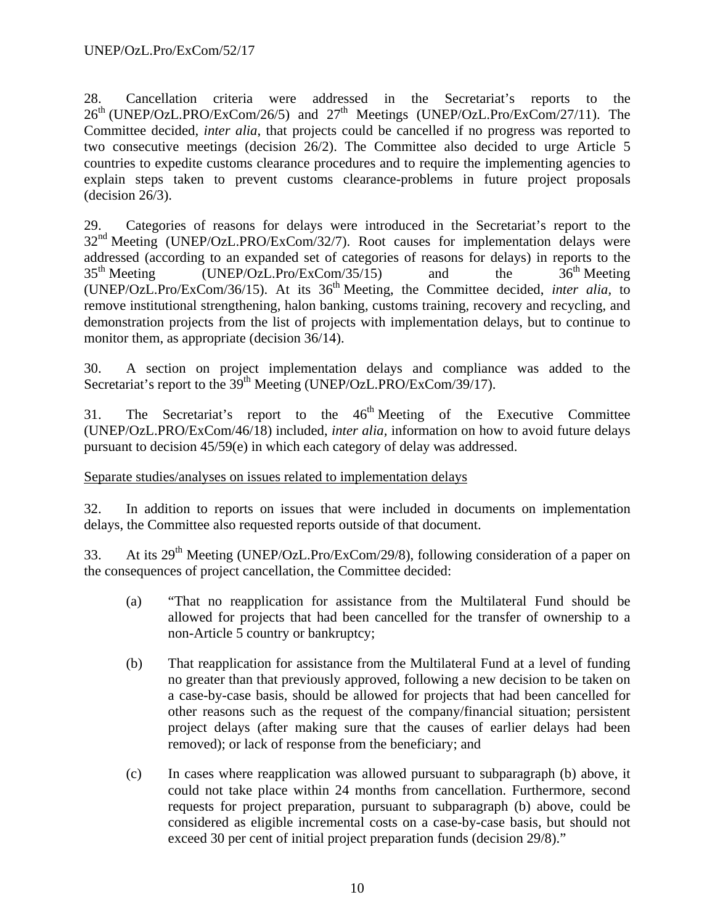28. Cancellation criteria were addressed in the Secretariat's reports to the  $26<sup>th</sup>$  (UNEP/OzL.PRO/ExCom/26/5) and  $27<sup>th</sup>$  Meetings (UNEP/OzL.Pro/ExCom/27/11). The Committee decided, *inter alia*, that projects could be cancelled if no progress was reported to two consecutive meetings (decision 26/2). The Committee also decided to urge Article 5 countries to expedite customs clearance procedures and to require the implementing agencies to explain steps taken to prevent customs clearance-problems in future project proposals  $-decision 26/3$ ).

29. Categories of reasons for delays were introduced in the Secretariat's report to the 32nd Meeting (UNEP/OzL.PRO/ExCom/32/7). Root causes for implementation delays were addressed (according to an expanded set of categories of reasons for delays) in reports to the  $35<sup>th</sup> Meeting$  (UNEP/OzL.Pro/ExCom/35/15) and the  $36<sup>th</sup> Meeting$ (UNEP/OzL.Pro/ExCom/36/15). At its 36th Meeting, the Committee decided, *inter alia,* to remove institutional strengthening, halon banking, customs training, recovery and recycling, and demonstration projects from the list of projects with implementation delays, but to continue to monitor them, as appropriate (decision 36/14).

30. A section on project implementation delays and compliance was added to the Secretariat's report to the 39<sup>th</sup> Meeting (UNEP/OzL.PRO/ExCom/39/17).

31. The Secretariat's report to the  $46<sup>th</sup>$  Meeting of the Executive Committee (UNEP/OzL.PRO/ExCom/46/18) included, *inter alia,* information on how to avoid future delays pursuant to decision 45/59(e) in which each category of delay was addressed.

# Separate studies/analyses on issues related to implementation delays

32. In addition to reports on issues that were included in documents on implementation delays, the Committee also requested reports outside of that document.

33. At its 29<sup>th</sup> Meeting (UNEP/OzL.Pro/ExCom/29/8), following consideration of a paper on the consequences of project cancellation, the Committee decided:

- (a) "That no reapplication for assistance from the Multilateral Fund should be allowed for projects that had been cancelled for the transfer of ownership to a non-Article 5 country or bankruptcy;
- (b) That reapplication for assistance from the Multilateral Fund at a level of funding no greater than that previously approved, following a new decision to be taken on a case-by-case basis, should be allowed for projects that had been cancelled for other reasons such as the request of the company/financial situation; persistent project delays (after making sure that the causes of earlier delays had been removed); or lack of response from the beneficiary; and
- (c) In cases where reapplication was allowed pursuant to subparagraph (b) above, it could not take place within 24 months from cancellation. Furthermore, second requests for project preparation, pursuant to subparagraph (b) above, could be considered as eligible incremental costs on a case-by-case basis, but should not exceed 30 per cent of initial project preparation funds (decision 29/8)."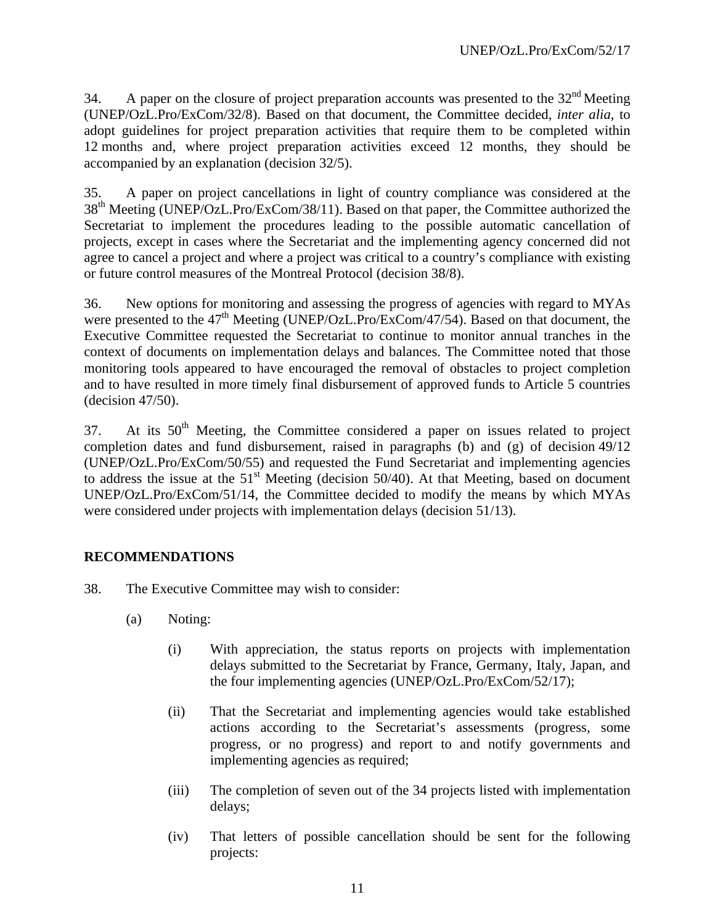34. A paper on the closure of project preparation accounts was presented to the 32<sup>nd</sup> Meeting (UNEP/OzL.Pro/ExCom/32/8). Based on that document, the Committee decided, *inter alia*, to adopt guidelines for project preparation activities that require them to be completed within 12 months and, where project preparation activities exceed 12 months, they should be accompanied by an explanation (decision 32/5).

35. A paper on project cancellations in light of country compliance was considered at the 38<sup>th</sup> Meeting (UNEP/OzL.Pro/ExCom/38/11). Based on that paper, the Committee authorized the Secretariat to implement the procedures leading to the possible automatic cancellation of projects, except in cases where the Secretariat and the implementing agency concerned did not agree to cancel a project and where a project was critical to a country's compliance with existing or future control measures of the Montreal Protocol (decision 38/8).

36. New options for monitoring and assessing the progress of agencies with regard to MYAs were presented to the  $47<sup>th</sup>$  Meeting (UNEP/OzL.Pro/ExCom/47/54). Based on that document, the Executive Committee requested the Secretariat to continue to monitor annual tranches in the context of documents on implementation delays and balances. The Committee noted that those monitoring tools appeared to have encouraged the removal of obstacles to project completion and to have resulted in more timely final disbursement of approved funds to Article 5 countries (decision 47/50).

37. At its 50<sup>th</sup> Meeting, the Committee considered a paper on issues related to project completion dates and fund disbursement, raised in paragraphs (b) and (g) of decision 49/12 (UNEP/OzL.Pro/ExCom/50/55) and requested the Fund Secretariat and implementing agencies to address the issue at the  $51<sup>st</sup>$  Meeting (decision 50/40). At that Meeting, based on document UNEP/OzL.Pro/ExCom/51/14, the Committee decided to modify the means by which MYAs were considered under projects with implementation delays (decision 51/13).

# **RECOMMENDATIONS**

- 38. The Executive Committee may wish to consider:
	- (a) Noting:
		- (i) With appreciation, the status reports on projects with implementation delays submitted to the Secretariat by France, Germany, Italy, Japan, and the four implementing agencies (UNEP/OzL.Pro/ExCom/52/17);
		- (ii) That the Secretariat and implementing agencies would take established actions according to the Secretariat's assessments (progress, some progress, or no progress) and report to and notify governments and implementing agencies as required;
		- (iii) The completion of seven out of the 34 projects listed with implementation delays;
		- (iv) That letters of possible cancellation should be sent for the following projects: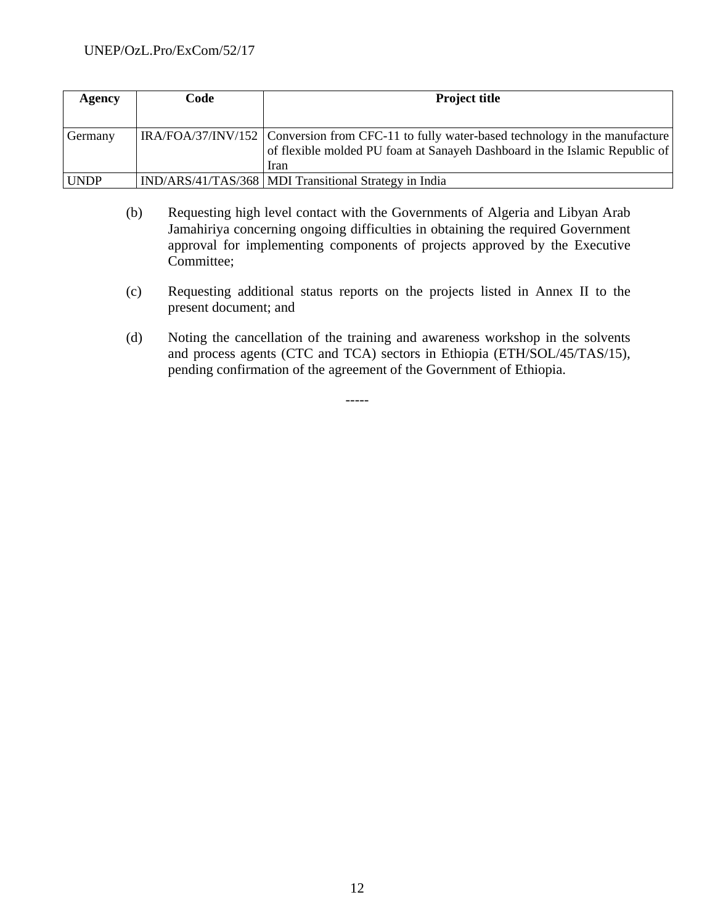| Agency      | Code | <b>Project title</b>                                                                                                                                                                 |
|-------------|------|--------------------------------------------------------------------------------------------------------------------------------------------------------------------------------------|
|             |      |                                                                                                                                                                                      |
| Germany     |      | $IRA/FOA/37/INV/152$ Conversion from CFC-11 to fully water-based technology in the manufacture<br>of flexible molded PU foam at Sanayeh Dashboard in the Islamic Republic of<br>Iran |
| <b>UNDP</b> |      | IND/ARS/41/TAS/368   MDI Transitional Strategy in India                                                                                                                              |

- (b) Requesting high level contact with the Governments of Algeria and Libyan Arab Jamahiriya concerning ongoing difficulties in obtaining the required Government approval for implementing components of projects approved by the Executive Committee;
- (c) Requesting additional status reports on the projects listed in Annex II to the present document; and
- (d) Noting the cancellation of the training and awareness workshop in the solvents and process agents (CTC and TCA) sectors in Ethiopia (ETH/SOL/45/TAS/15), pending confirmation of the agreement of the Government of Ethiopia.

-----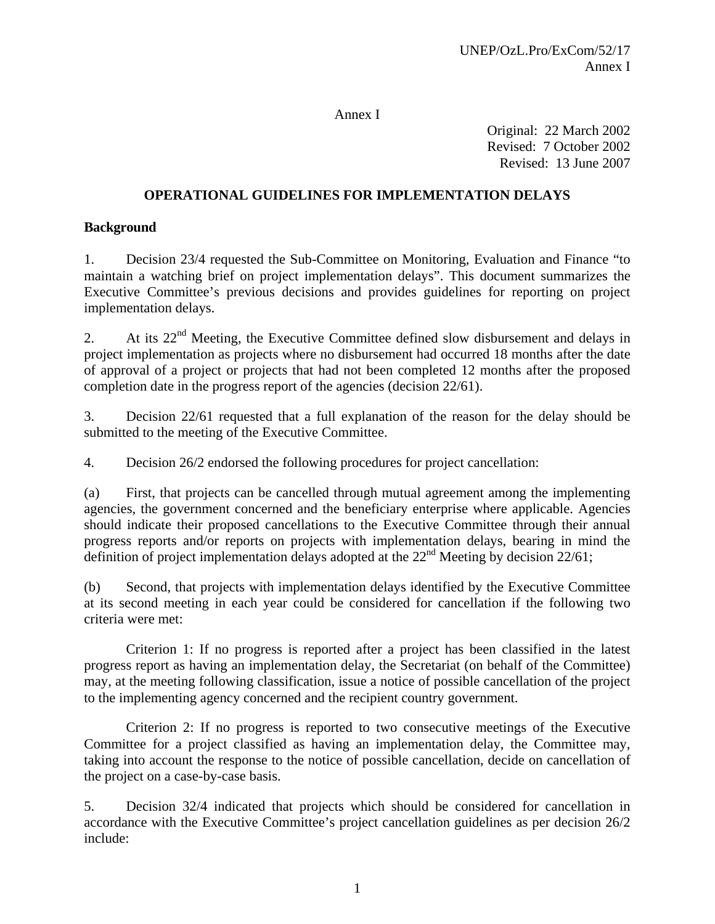#### Annex I

Original: 22 March 2002 Revised: 7 October 2002 Revised: 13 June 2007

# **OPERATIONAL GUIDELINES FOR IMPLEMENTATION DELAYS**

## **Background**

1. Decision 23/4 requested the Sub-Committee on Monitoring, Evaluation and Finance "to maintain a watching brief on project implementation delays". This document summarizes the Executive Committee's previous decisions and provides guidelines for reporting on project implementation delays.

2. At its  $22<sup>nd</sup>$  Meeting, the Executive Committee defined slow disbursement and delays in project implementation as projects where no disbursement had occurred 18 months after the date of approval of a project or projects that had not been completed 12 months after the proposed completion date in the progress report of the agencies (decision 22/61).

3. Decision 22/61 requested that a full explanation of the reason for the delay should be submitted to the meeting of the Executive Committee.

4. Decision 26/2 endorsed the following procedures for project cancellation:

(a) First, that projects can be cancelled through mutual agreement among the implementing agencies, the government concerned and the beneficiary enterprise where applicable. Agencies should indicate their proposed cancellations to the Executive Committee through their annual progress reports and/or reports on projects with implementation delays, bearing in mind the definition of project implementation delays adopted at the  $22<sup>nd</sup>$  Meeting by decision 22/61;

(b) Second, that projects with implementation delays identified by the Executive Committee at its second meeting in each year could be considered for cancellation if the following two criteria were met:

 Criterion 1: If no progress is reported after a project has been classified in the latest progress report as having an implementation delay, the Secretariat (on behalf of the Committee) may, at the meeting following classification, issue a notice of possible cancellation of the project to the implementing agency concerned and the recipient country government.

 Criterion 2: If no progress is reported to two consecutive meetings of the Executive Committee for a project classified as having an implementation delay, the Committee may, taking into account the response to the notice of possible cancellation, decide on cancellation of the project on a case-by-case basis.

5. Decision 32/4 indicated that projects which should be considered for cancellation in accordance with the Executive Committee's project cancellation guidelines as per decision 26/2 include: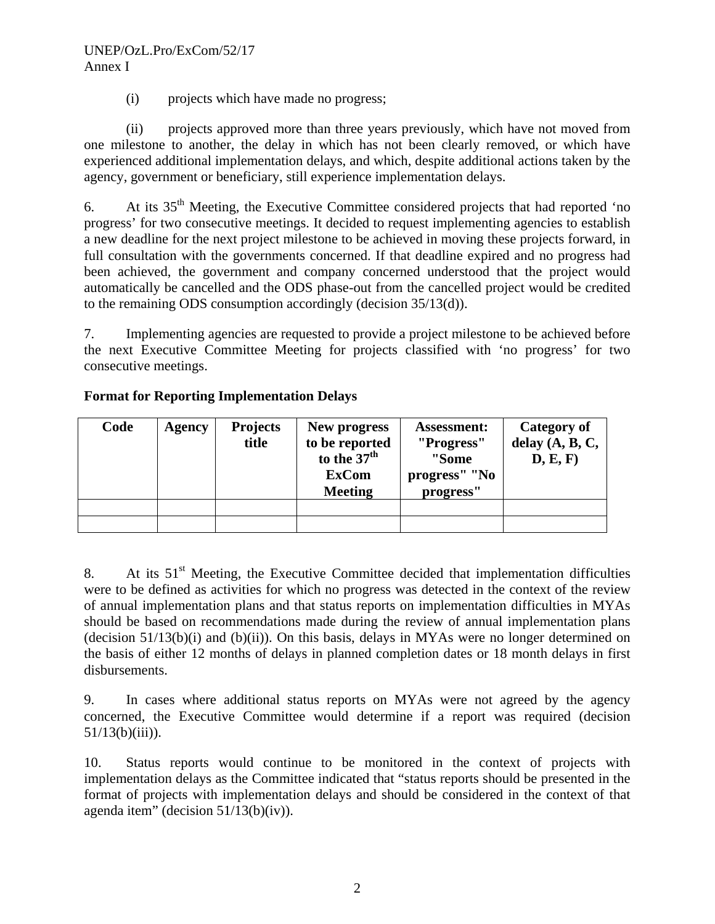# UNEP/OzL.Pro/ExCom/52/17 Annex I

(i) projects which have made no progress;

 (ii) projects approved more than three years previously, which have not moved from one milestone to another, the delay in which has not been clearly removed, or which have experienced additional implementation delays, and which, despite additional actions taken by the agency, government or beneficiary, still experience implementation delays.

6. At its  $35<sup>th</sup>$  Meeting, the Executive Committee considered projects that had reported 'no progress' for two consecutive meetings. It decided to request implementing agencies to establish a new deadline for the next project milestone to be achieved in moving these projects forward, in full consultation with the governments concerned. If that deadline expired and no progress had been achieved, the government and company concerned understood that the project would automatically be cancelled and the ODS phase-out from the cancelled project would be credited to the remaining ODS consumption accordingly (decision 35/13(d)).

7. Implementing agencies are requested to provide a project milestone to be achieved before the next Executive Committee Meeting for projects classified with 'no progress' for two consecutive meetings.

| Code | Agency | <b>Projects</b><br>title | New progress<br>to be reported<br>to the 37 <sup>th</sup><br><b>ExCom</b><br><b>Meeting</b> | <b>Assessment:</b><br>"Progress"<br>"Some<br>progress" "No<br>progress" | Category of<br>delay $(A, B, C,$<br>D, E, F) |
|------|--------|--------------------------|---------------------------------------------------------------------------------------------|-------------------------------------------------------------------------|----------------------------------------------|
|      |        |                          |                                                                                             |                                                                         |                                              |
|      |        |                          |                                                                                             |                                                                         |                                              |

# **Format for Reporting Implementation Delays**

8. At its 51<sup>st</sup> Meeting, the Executive Committee decided that implementation difficulties were to be defined as activities for which no progress was detected in the context of the review of annual implementation plans and that status reports on implementation difficulties in MYAs should be based on recommendations made during the review of annual implementation plans (decision  $51/13(b)(i)$  and  $(b)(ii)$ ). On this basis, delays in MYAs were no longer determined on the basis of either 12 months of delays in planned completion dates or 18 month delays in first disbursements.

9. In cases where additional status reports on MYAs were not agreed by the agency concerned, the Executive Committee would determine if a report was required (decision  $51/13(b)(iii)$ ).

10. Status reports would continue to be monitored in the context of projects with implementation delays as the Committee indicated that "status reports should be presented in the format of projects with implementation delays and should be considered in the context of that agenda item" (decision 51/13(b)(iv)).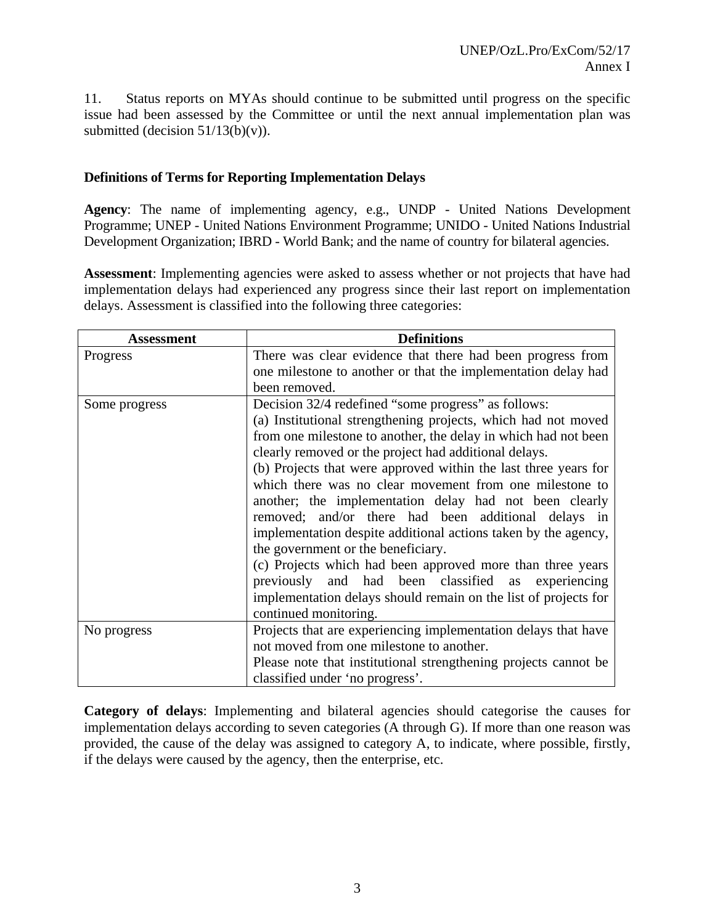11. Status reports on MYAs should continue to be submitted until progress on the specific issue had been assessed by the Committee or until the next annual implementation plan was submitted (decision  $51/13(b)(v)$ ).

#### **Definitions of Terms for Reporting Implementation Delays**

**Agency**: The name of implementing agency, e.g., UNDP - United Nations Development Programme; UNEP - United Nations Environment Programme; UNIDO - United Nations Industrial Development Organization; IBRD - World Bank; and the name of country for bilateral agencies.

**Assessment**: Implementing agencies were asked to assess whether or not projects that have had implementation delays had experienced any progress since their last report on implementation delays. Assessment is classified into the following three categories:

| Assessment    | <b>Definitions</b>                                              |
|---------------|-----------------------------------------------------------------|
| Progress      | There was clear evidence that there had been progress from      |
|               | one milestone to another or that the implementation delay had   |
|               | been removed.                                                   |
| Some progress | Decision 32/4 redefined "some progress" as follows:             |
|               | (a) Institutional strengthening projects, which had not moved   |
|               | from one milestone to another, the delay in which had not been  |
|               | clearly removed or the project had additional delays.           |
|               | (b) Projects that were approved within the last three years for |
|               | which there was no clear movement from one milestone to         |
|               | another; the implementation delay had not been clearly          |
|               | removed; and/or there had been additional delays in             |
|               | implementation despite additional actions taken by the agency,  |
|               | the government or the beneficiary.                              |
|               | (c) Projects which had been approved more than three years      |
|               | previously and had been classified as experiencing              |
|               | implementation delays should remain on the list of projects for |
|               | continued monitoring.                                           |
| No progress   | Projects that are experiencing implementation delays that have  |
|               | not moved from one milestone to another.                        |
|               | Please note that institutional strengthening projects cannot be |
|               | classified under 'no progress'.                                 |

**Category of delays**: Implementing and bilateral agencies should categorise the causes for implementation delays according to seven categories (A through G). If more than one reason was provided, the cause of the delay was assigned to category A, to indicate, where possible, firstly, if the delays were caused by the agency, then the enterprise, etc.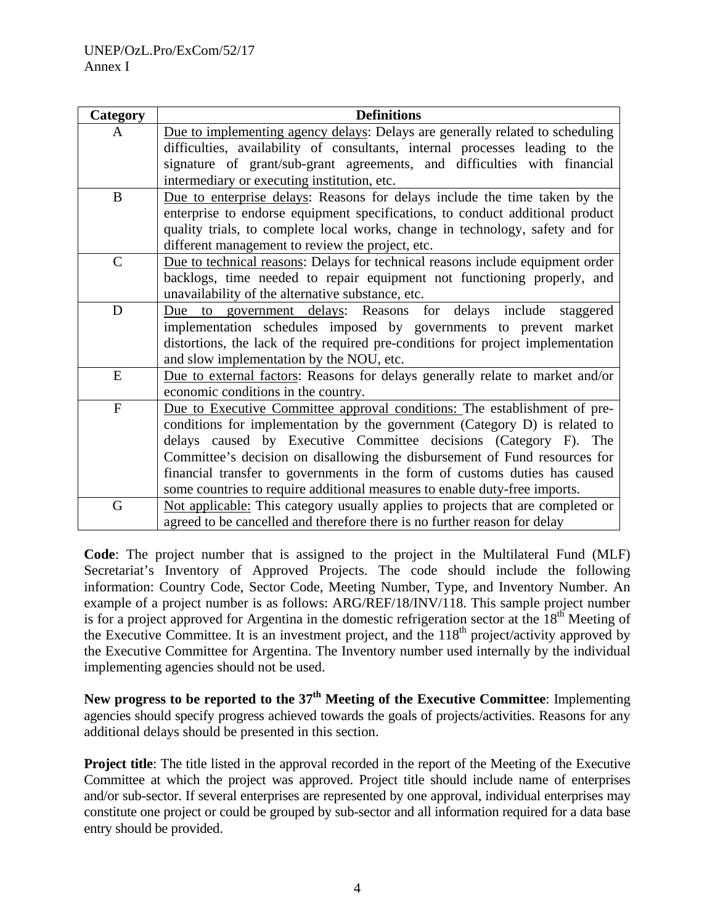| Category     | <b>Definitions</b>                                                              |
|--------------|---------------------------------------------------------------------------------|
| A            | Due to implementing agency delays: Delays are generally related to scheduling   |
|              | difficulties, availability of consultants, internal processes leading to the    |
|              | signature of grant/sub-grant agreements, and difficulties with financial        |
|              | intermediary or executing institution, etc.                                     |
| $\bf{B}$     | Due to enterprise delays: Reasons for delays include the time taken by the      |
|              | enterprise to endorse equipment specifications, to conduct additional product   |
|              | quality trials, to complete local works, change in technology, safety and for   |
|              | different management to review the project, etc.                                |
| $\mathsf{C}$ | Due to technical reasons: Delays for technical reasons include equipment order  |
|              | backlogs, time needed to repair equipment not functioning properly, and         |
|              | unavailability of the alternative substance, etc.                               |
| D            | government delays: Reasons for delays include<br>staggered<br>Due<br>to         |
|              | implementation schedules imposed by governments to prevent market               |
|              | distortions, the lack of the required pre-conditions for project implementation |
|              | and slow implementation by the NOU, etc.                                        |
| E            | Due to external factors: Reasons for delays generally relate to market and/or   |
|              | economic conditions in the country.                                             |
| ${\bf F}$    | Due to Executive Committee approval conditions: The establishment of pre-       |
|              | conditions for implementation by the government (Category D) is related to      |
|              | delays caused by Executive Committee decisions (Category F). The                |
|              | Committee's decision on disallowing the disbursement of Fund resources for      |
|              | financial transfer to governments in the form of customs duties has caused      |
|              | some countries to require additional measures to enable duty-free imports.      |
| G            | Not applicable: This category usually applies to projects that are completed or |
|              | agreed to be cancelled and therefore there is no further reason for delay       |

**Code**: The project number that is assigned to the project in the Multilateral Fund (MLF) Secretariat's Inventory of Approved Projects. The code should include the following information: Country Code, Sector Code, Meeting Number, Type, and Inventory Number. An example of a project number is as follows: ARG/REF/18/INV/118. This sample project number is for a project approved for Argentina in the domestic refrigeration sector at the  $18<sup>th</sup>$  Meeting of the Executive Committee. It is an investment project, and the  $118<sup>th</sup>$  project/activity approved by the Executive Committee for Argentina. The Inventory number used internally by the individual implementing agencies should not be used.

**New progress to be reported to the 37th Meeting of the Executive Committee**: Implementing agencies should specify progress achieved towards the goals of projects/activities. Reasons for any additional delays should be presented in this section.

**Project title:** The title listed in the approval recorded in the report of the Meeting of the Executive Committee at which the project was approved. Project title should include name of enterprises and/or sub-sector. If several enterprises are represented by one approval, individual enterprises may constitute one project or could be grouped by sub-sector and all information required for a data base entry should be provided.